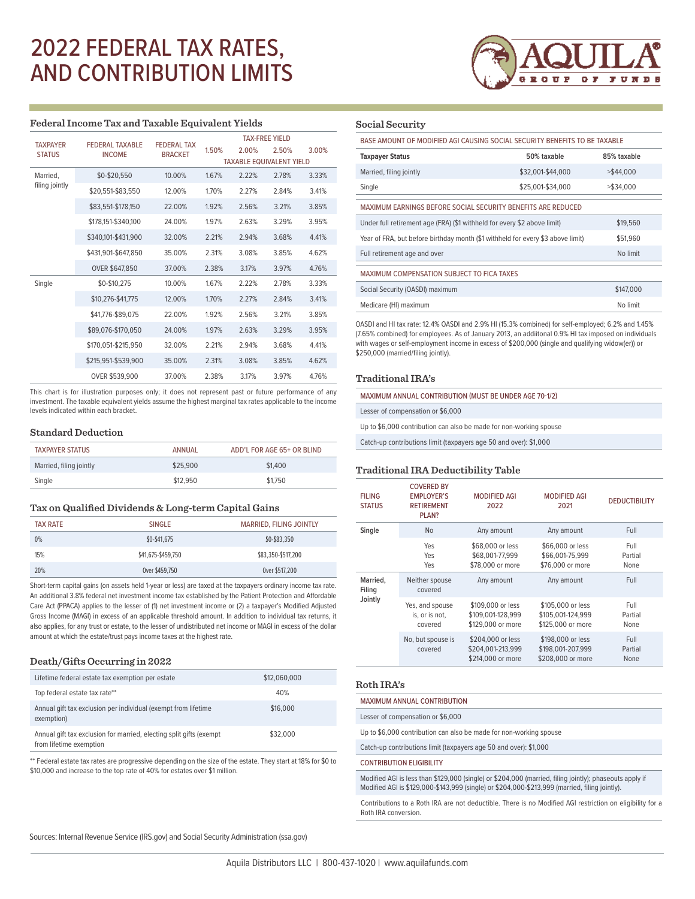# 2022 FEDERAL TAX RATES, AND CONTRIBUTION LIMITS



#### **Federal Income Tax and Taxable Equivalent Yields**

|                                  | <b>FFDFRAI TAX</b>                      | <b>TAX-FRFF YIFI D</b> |                                 |       |       |       |
|----------------------------------|-----------------------------------------|------------------------|---------------------------------|-------|-------|-------|
| <b>TAXPAYER</b><br><b>STATUS</b> | <b>FEDERAL TAXABLE</b><br><b>INCOME</b> | <b>BRACKET</b>         | 1.50%                           | 2.00% | 2.50% | 3.00% |
|                                  |                                         |                        | <b>TAXABLE EQUIVALENT YIELD</b> |       |       |       |
| Married.                         | \$0-\$20,550                            | 10.00%                 | 1.67%                           | 2.22% | 2.78% | 3.33% |
| filing jointly                   | \$20,551-\$83,550                       | 12.00%                 | 1.70%                           | 2.27% | 2.84% | 3.41% |
|                                  | \$83,551-\$178,150                      | 22.00%                 | 1.92%                           | 2.56% | 3.21% | 3.85% |
|                                  | \$178,151-\$340,100                     | 24.00%                 | 1.97%                           | 2.63% | 3.29% | 3.95% |
|                                  | \$340,101-\$431,900                     | 32.00%                 | 2.21%                           | 2.94% | 3.68% | 4.41% |
|                                  | \$431,901-\$647,850                     | 35.00%                 | 2.31%                           | 3.08% | 3.85% | 4.62% |
|                                  | OVER \$647,850                          | 37.00%                 | 2.38%                           | 3.17% | 3.97% | 4.76% |
| Single                           | \$0-\$10.275                            | 10.00%                 | 1.67%                           | 2.22% | 2.78% | 3.33% |
|                                  | \$10,276-\$41,775                       | 12.00%                 | 1.70%                           | 2.27% | 2.84% | 3.41% |
|                                  | \$41,776-\$89,075                       | 22.00%                 | 1.92%                           | 2.56% | 3.21% | 3.85% |
|                                  | \$89,076-\$170,050                      | 24.00%                 | 1.97%                           | 2.63% | 3.29% | 3.95% |
|                                  | \$170,051-\$215,950                     | 32.00%                 | 2.21%                           | 2.94% | 3.68% | 4.41% |
|                                  | \$215,951-\$539,900                     | 35.00%                 | 2.31%                           | 3.08% | 3.85% | 4.62% |
|                                  | OVER \$539,900                          | 37.00%                 | 2.38%                           | 3.17% | 3.97% | 4.76% |

This chart is for illustration purposes only; it does not represent past or future performance of any investment. The taxable equivalent yields assume the highest marginal tax rates applicable to the income levels indicated within each bracket.

# **Standard Deduction**

| <b>TAXPAYER STATUS</b>  | ANNUAL   | ADD'L FOR AGE 65+ OR BLIND |
|-------------------------|----------|----------------------------|
| Married, filing jointly | \$25,900 | \$1,400                    |
| Single                  | \$12,950 | \$1,750                    |

#### **Tax on Qualified Dividends & Long-term Capital Gains**

| <b>TAX RATE</b> | <b>SINGLE</b>      | <b>MARRIED, FILING JOINTLY</b> |
|-----------------|--------------------|--------------------------------|
| 0%              | \$0-\$41.675       | \$0-\$83,350                   |
| 15%             | \$41,675-\$459.750 | \$83,350-\$517,200             |
| 20%             | Over \$459,750     | Over \$517,200                 |

Short-term capital gains (on assets held 1-year or less) are taxed at the taxpayers ordinary income tax rate. An additional 3.8% federal net investment income tax established by the Patient Protection and Affordable Care Act (PPACA) applies to the lesser of (1) net investment income or (2) a taxpayer's Modified Adjusted Gross Income (MAGI) in excess of an applicable threshold amount. In addition to individual tax returns, it also applies, for any trust or estate, to the lesser of undistributed net income or MAGI in excess of the dollar amount at which the estate/trust pays income taxes at the highest rate.

#### **Death/Gifts Occurring in 2022**

| Lifetime federal estate tax exemption per estate                                               | \$12,060,000 |  |
|------------------------------------------------------------------------------------------------|--------------|--|
| Top federal estate tax rate**                                                                  | 40%          |  |
| Annual gift tax exclusion per individual (exempt from lifetime<br>exemption)                   | \$16,000     |  |
| Annual gift tax exclusion for married, electing split gifts (exempt<br>from lifetime exemption | \$32,000     |  |

\*\* Federal estate tax rates are progressive depending on the size of the estate. They start at 18% for \$0 to \$10,000 and increase to the top rate of 40% for estates over \$1 million.

### **Social Security**

| BASE AMOUNT OF MODIFIED AGI CAUSING SOCIAL SECURITY BENEFITS TO BE TAXABLE      |                   |              |  |  |  |
|---------------------------------------------------------------------------------|-------------------|--------------|--|--|--|
| 50% taxable<br>Taxpayer Status                                                  |                   | 85% taxable  |  |  |  |
| Married, filing jointly                                                         | \$32,001-\$44,000 | $>$ \$44,000 |  |  |  |
| Single                                                                          | \$25,001-\$34,000 | $>$ \$34.000 |  |  |  |
| MAXIMUM EARNINGS BEFORE SOCIAL SECURITY BENEFITS ARE REDUCED                    |                   |              |  |  |  |
| Under full retirement age (FRA) (\$1 withheld for every \$2 above limit)        | \$19,560          |              |  |  |  |
| Year of FRA, but before birthday month (\$1 withheld for every \$3 above limit) | \$51,960          |              |  |  |  |
| Full retirement age and over                                                    | No limit          |              |  |  |  |
| MAXIMUM COMPENSATION SUBJECT TO FICA TAXES                                      |                   |              |  |  |  |
| Social Security (OASDI) maximum                                                 | \$147,000         |              |  |  |  |
| Medicare (HI) maximum                                                           | No limit          |              |  |  |  |
|                                                                                 |                   |              |  |  |  |

OASDI and HI tax rate: 12.4% OASDI and 2.9% HI (15.3% combined) for self-employed; 6.2% and 1.45% (7.65% combined) for employees. As of January 2013, an addiitonal 0.9% HI tax imposed on individuals with wages or self-employment income in excess of \$200,000 (single and qualifying widow(er)) or \$250,000 (married/filing jointly).

#### **Traditional IRA's**

MAXIMUM ANNUAL CONTRIBUTION (MUST BE UNDER AGE 70-1/2)

Lesser of compensation or \$6,000

Up to \$6,000 contribution can also be made for non-working spouse

Catch-up contributions limit (taxpayers age 50 and over): \$1,000

#### **Traditional IRA Deductibility Table**

| <b>FILING</b><br><b>STATUS</b> | <b>COVERED BY</b><br><b>EMPLOYER'S</b><br><b>RETIREMENT</b><br>PLAN? | <b>MODIFIED AGI</b><br>2022                                 | <b>MODIFIED AGI</b><br>2021                                 | <b>DEDUCTIBILITY</b>    |
|--------------------------------|----------------------------------------------------------------------|-------------------------------------------------------------|-------------------------------------------------------------|-------------------------|
| Single                         | N <sub>o</sub>                                                       | Any amount                                                  | Any amount                                                  | Full                    |
|                                | Yes<br>Yes<br>Yes                                                    | \$68,000 or less<br>\$68,001-77.999<br>\$78,000 or more     | \$66,000 or less<br>\$66,001-75.999<br>\$76,000 or more     | Full<br>Partial<br>None |
| Married,<br>Filing<br>Jointly  | Neither spouse<br>covered                                            | Any amount                                                  | Any amount                                                  | Full                    |
|                                | Yes, and spouse<br>is, or is not,<br>covered                         | \$109,000 or less<br>\$109.001-128.999<br>\$129,000 or more | \$105,000 or less<br>\$105.001-124.999<br>\$125,000 or more | Full<br>Partial<br>None |
|                                | No, but spouse is<br>covered                                         | \$204,000 or less<br>\$204,001-213,999<br>\$214,000 or more | \$198,000 or less<br>\$198.001-207.999<br>\$208,000 or more | Full<br>Partial<br>None |

#### **Roth IRA's**

## MAXIMUM ANNUAL CONTRIBUTION

Lesser of compensation or \$6,000

Up to \$6,000 contribution can also be made for non-working spouse

Catch-up contributions limit (taxpayers age 50 and over): \$1,000

#### CONTRIBUTION ELIGIBILITY

Modified AGI is less than \$129,000 (single) or \$204,000 (married, filing jointly); phaseouts apply if Modified AGI is \$129,000-\$143,999 (single) or \$204,000-\$213,999 (married, filing jointly).

Contributions to a Roth IRA are not deductible. There is no Modified AGI restriction on eligibility for a Roth IRA conversion.

Sources: Internal Revenue Service (IRS.gov) and Social Security Administration (ssa.gov)